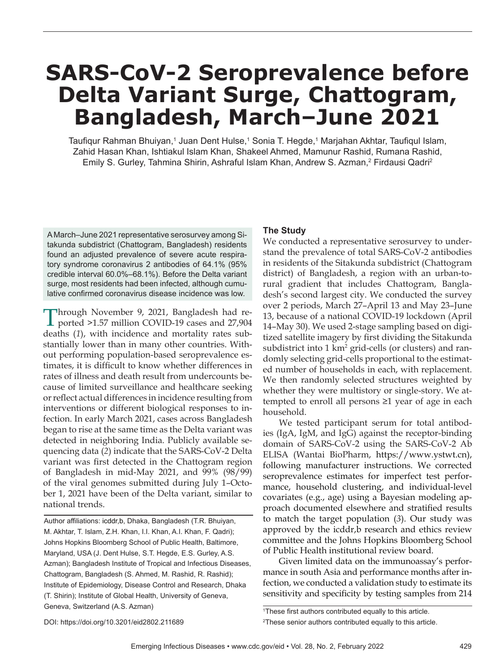# **SARS-CoV-2 Seroprevalence before Delta Variant Surge, Chattogram, Bangladesh, March–June 2021**

Taufiqur Rahman Bhuiyan,<sup>1</sup> Juan Dent Hulse,<sup>1</sup> Sonia T. Hegde,<sup>1</sup> Marjahan Akhtar, Taufiqul Islam, Zahid Hasan Khan, Ishtiakul Islam Khan, Shakeel Ahmed, Mamunur Rashid, Rumana Rashid, Emily S. Gurley, Tahmina Shirin, Ashraful Islam Khan, Andrew S. Azman,<sup>2</sup> Firdausi Qadri<sup>2</sup>

A March–June 2021 representative serosurvey among Sitakunda subdistrict (Chattogram, Bangladesh) residents found an adjusted prevalence of severe acute respiratory syndrome coronavirus 2 antibodies of 64.1% (95% credible interval 60.0%–68.1%). Before the Delta variant surge, most residents had been infected, although cumulative confirmed coronavirus disease incidence was low.

Through November 9, 2021, Bangladesh had reported >1.57 million COVID-19 cases and 27,904 deaths (*1*), with incidence and mortality rates substantially lower than in many other countries. Without performing population-based seroprevalence estimates, it is difficult to know whether differences in rates of illness and death result from undercounts because of limited surveillance and healthcare seeking or reflect actual differences in incidence resulting from interventions or different biological responses to infection. In early March 2021, cases across Bangladesh began to rise at the same time as the Delta variant was detected in neighboring India. Publicly available sequencing data (*2*) indicate that the SARS-CoV-2 Delta variant was first detected in the Chattogram region of Bangladesh in mid-May 2021, and 99% (98/99) of the viral genomes submitted during July 1–October 1, 2021 have been of the Delta variant, similar to national trends.

Author affiliations: icddr,b, Dhaka, Bangladesh (T.R. Bhuiyan, M. Akhtar, T. Islam, Z.H. Khan, I.I. Khan, A.I. Khan, F. Qadri); Johns Hopkins Bloomberg School of Public Health, Baltimore, Maryland, USA (J. Dent Hulse, S.T. Hegde, E.S. Gurley, A.S. Azman); Bangladesh Institute of Tropical and Infectious Diseases, Chattogram, Bangladesh (S. Ahmed, M. Rashid, R. Rashid); Institute of Epidemiology, Disease Control and Research, Dhaka (T. Shirin); Institute of Global Health, University of Geneva, Geneva, Switzerland (A.S. Azman)

## **The Study**

We conducted a representative serosurvey to understand the prevalence of total SARS-CoV-2 antibodies in residents of the Sitakunda subdistrict (Chattogram district) of Bangladesh, a region with an urban-torural gradient that includes Chattogram, Bangladesh's second largest city. We conducted the survey over 2 periods, March 27–April 13 and May 23–June 13, because of a national COVID-19 lockdown (April 14–May 30). We used 2-stage sampling based on digitized satellite imagery by first dividing the Sitakunda subdistrict into 1 km<sup>2</sup> grid-cells (or clusters) and randomly selecting grid-cells proportional to the estimated number of households in each, with replacement. We then randomly selected structures weighted by whether they were multistory or single-story. We attempted to enroll all persons ≥1 year of age in each household.

We tested participant serum for total antibodies (IgA, IgM, and IgG) against the receptor-binding domain of SARS-CoV-2 using the SARS-CoV-2 Ab ELISA (Wantai BioPharm, https://www.ystwt.cn), following manufacturer instructions. We corrected seroprevalence estimates for imperfect test performance, household clustering, and individual-level covariates (e.g., age) using a Bayesian modeling approach documented elsewhere and stratified results to match the target population (*3*). Our study was approved by the icddr,b research and ethics review committee and the Johns Hopkins Bloomberg School of Public Health institutional review board.

Given limited data on the immunoassay's performance in south Asia and performance months after infection, we conducted a validation study to estimate its sensitivity and specificity by testing samples from 214

<sup>&</sup>lt;sup>1</sup>These first authors contributed equally to this article. 2 These senior authors contributed equally to this article.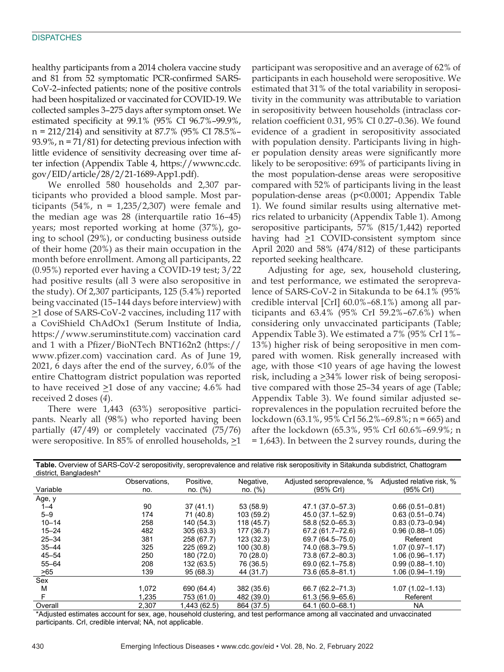healthy participants from a 2014 cholera vaccine study and 81 from 52 symptomatic PCR-confirmed SARS-CoV-2–infected patients; none of the positive controls had been hospitalized or vaccinated for COVID-19. We collected samples 3–275 days after symptom onset. We estimated specificity at 99.1% (95% CI 96.7%–99.9%, n = 212/214) and sensitivity at 87.7% (95% CI 78.5%– 93.9%, n = 71/81) for detecting previous infection with little evidence of sensitivity decreasing over time after infection (Appendix Table 4, https://wwwnc.cdc. gov/EID/article/28/2/21-1689-App1.pdf).

We enrolled 580 households and 2,307 participants who provided a blood sample. Most participants  $(54\% , n = 1,235/2,307)$  were female and the median age was 28 (interquartile ratio 16–45) years; most reported working at home (37%), going to school (29%), or conducting business outside of their home (20%) as their main occupation in the month before enrollment. Among all participants, 22 (0.95%) reported ever having a COVID-19 test; 3/22 had positive results (all 3 were also seropositive in the study). Of 2,307 participants, 125 (5.4%) reported being vaccinated (15–144 days before interview) with >1 dose of SARS-CoV-2 vaccines, including 117 with a CoviShield ChAdOx1 (Serum Institute of India, https://www.seruminstitute.com) vaccination card and 1 with a Pfizer/BioNTech BNT162n2 (https:// www.pfizer.com) vaccination card. As of June 19, 2021, 6 days after the end of the survey, 6.0% of the entire Chattogram district population was reported to have received  $\geq 1$  dose of any vaccine; 4.6% had received 2 doses (*4*).

There were 1,443 (63%) seropositive participants. Nearly all (98%) who reported having been partially (47/49) or completely vaccinated (75/76) were seropositive. In 85% of enrolled households,  $\geq 1$ 

participant was seropositive and an average of 62% of participants in each household were seropositive. We estimated that 31% of the total variability in seropositivity in the community was attributable to variation in seropositivity between households (intraclass correlation coefficient 0.31, 95% CI 0.27–0.36). We found evidence of a gradient in seropositivity associated with population density. Participants living in higher population density areas were significantly more likely to be seropositive: 69% of participants living in the most population-dense areas were seropositive compared with 52% of participants living in the least population-dense areas (p<0.0001; Appendix Table 1). We found similar results using alternative metrics related to urbanicity (Appendix Table 1). Among seropositive participants, 57% (815/1,442) reported having had  $\geq$ 1 COVID-consistent symptom since April 2020 and 58% (474/812) of these participants reported seeking healthcare.

Adjusting for age, sex, household clustering, and test performance, we estimated the seroprevalence of SARS-CoV-2 in Sitakunda to be 64.1% (95% credible interval [CrI] 60.0%–68.1%) among all participants and 63.4% (95% CrI 59.2%–67.6%) when considering only unvaccinated participants (Table; Appendix Table 3). We estimated a 7% (95% CrI 1%– 13%) higher risk of being seropositive in men compared with women. Risk generally increased with age, with those <10 years of age having the lowest risk, including a  $\geq$ 34% lower risk of being seropositive compared with those 25–34 years of age (Table; Appendix Table 3). We found similar adjusted seroprevalences in the population recruited before the lockdown (63.1%, 95% CrI 56.2%–69.8%; n = 665) and after the lockdown (65.3%, 95% CrI 60.6%–69.9%; n = 1,643). In between the 2 survey rounds, during the

| district, Bangladesh* |               |              |            |                            |                           |
|-----------------------|---------------|--------------|------------|----------------------------|---------------------------|
|                       | Observations, | Positive,    | Negative,  | Adjusted seroprevalence, % | Adjusted relative risk, % |
| Variable              | no.           | no. (%)      | no. (%)    | (95% Crl)                  | (95% Crl)                 |
| Age, y                |               |              |            |                            |                           |
| $1 - 4$               | 90            | 37(41.1)     | 53 (58.9)  | 47.1 (37.0–57.3)           | $0.66(0.51 - 0.81)$       |
| $5 - 9$               | 174           | 71 (40.8)    | 103(59.2)  | 45.0 (37.1–52.9)           | $0.63(0.51 - 0.74)$       |
| $10 - 14$             | 258           | 140 (54.3)   | 118 (45.7) | 58.8 (52.0-65.3)           | $0.83(0.73 - 0.94)$       |
| $15 - 24$             | 482           | 305(63.3)    | 177 (36.7) | 67.2 (61.7-72.6)           | $0.96(0.88 - 1.05)$       |
| $25 - 34$             | 381           | 258 (67.7)   | 123 (32.3) | 69.7 (64.5-75.0)           | Referent                  |
| $35 - 44$             | 325           | 225 (69.2)   | 100 (30.8) | 74.0 (68.3-79.5)           | $1.07(0.97 - 1.17)$       |
| $45 - 54$             | 250           | 180 (72.0)   | 70 (28.0)  | 73.8 (67.2-80.3)           | $1.06(0.96 - 1.17)$       |
| $55 - 64$             | 208           | 132 (63.5)   | 76 (36.5)  | 69.0 (62.1-75.8)           | $0.99(0.88 - 1.10)$       |
| >65                   | 139           | 95(68.3)     | 44 (31.7)  | 73.6 (65.8-81.1)           | $1.06(0.94 - 1.19)$       |
| Sex                   |               |              |            |                            |                           |
| м                     | 1,072         | 690 (64.4)   | 382 (35.6) | 66.7 (62.2–71.3)           | $1.07(1.02 - 1.13)$       |
| F                     | 1,235         | 753 (61.0)   | 482 (39.0) | $61.3(56.9 - 65.6)$        | Referent                  |
| Overall               | 2,307         | 1.443 (62.5) | 864 (37.5) | 64.1 (60.0-68.1)           | <b>NA</b>                 |

**Table.** Overview of SARS-CoV-2 seropositivity, seroprevalence and relative risk seropositivity in Sitakunda subdistrict, Chattogram

\*Adjusted estimates account for sex, age, household clustering, and test performance among all vaccinated and unvaccinated participants. CrI, credible interval; NA, not applicable.